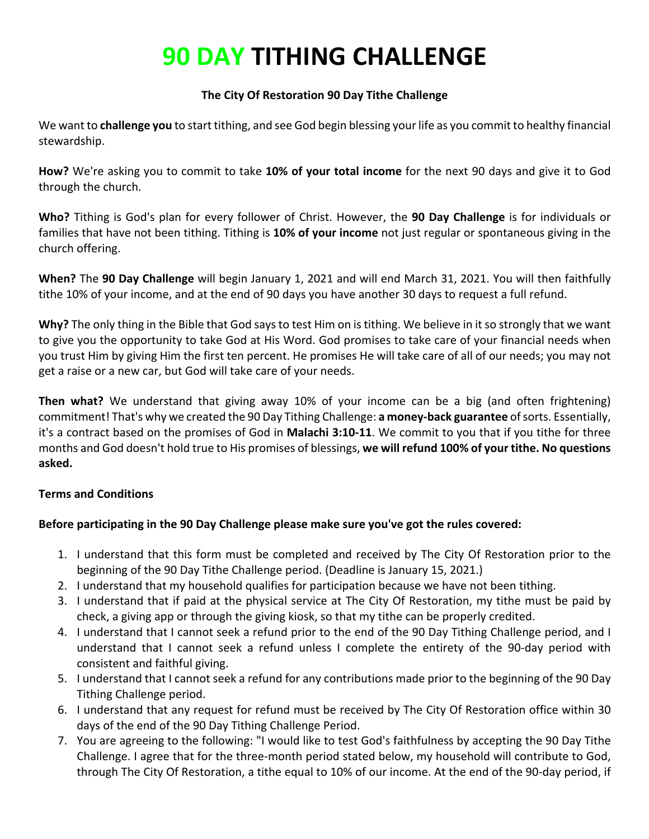# **90 DAY TITHING CHALLENGE**

## **The City Of Restoration 90 Day Tithe Challenge**

We want to **challenge you** to start tithing, and see God begin blessing your life as you commit to healthy financial stewardship.

**How?** We're asking you to commit to take **10% of your total income** for the next 90 days and give it to God through the church.

**Who?** Tithing is God's plan for every follower of Christ. However, the **90 Day Challenge** is for individuals or families that have not been tithing. Tithing is **10% of your income** not just regular or spontaneous giving in the church offering.

**When?** The **90 Day Challenge** will begin January 1, 2021 and will end March 31, 2021. You will then faithfully tithe 10% of your income, and at the end of 90 days you have another 30 days to request a full refund.

**Why?** The only thing in the Bible that God says to test Him on is tithing. We believe in it so strongly that we want to give you the opportunity to take God at His Word. God promises to take care of your financial needs when you trust Him by giving Him the first ten percent. He promises He will take care of all of our needs; you may not get a raise or a new car, but God will take care of your needs.

**Then what?** We understand that giving away 10% of your income can be a big (and often frightening) commitment! That's why we created the 90 Day Tithing Challenge: **a money-back guarantee** of sorts. Essentially, it's a contract based on the promises of God in **Malachi 3:10-11**. We commit to you that if you tithe for three months and God doesn't hold true to His promises of blessings, **we will refund 100% of your tithe. No questions asked.** 

## **Terms and Conditions**

## **Before participating in the 90 Day Challenge please make sure you've got the rules covered:**

- 1. I understand that this form must be completed and received by The City Of Restoration prior to the beginning of the 90 Day Tithe Challenge period. (Deadline is January 15, 2021.)
- 2. I understand that my household qualifies for participation because we have not been tithing.
- 3. I understand that if paid at the physical service at The City Of Restoration, my tithe must be paid by check, a giving app or through the giving kiosk, so that my tithe can be properly credited.
- 4. I understand that I cannot seek a refund prior to the end of the 90 Day Tithing Challenge period, and I understand that I cannot seek a refund unless I complete the entirety of the 90-day period with consistent and faithful giving.
- 5. I understand that I cannot seek a refund for any contributions made prior to the beginning of the 90 Day Tithing Challenge period.
- 6. I understand that any request for refund must be received by The City Of Restoration office within 30 days of the end of the 90 Day Tithing Challenge Period.
- 7. You are agreeing to the following: "I would like to test God's faithfulness by accepting the 90 Day Tithe Challenge. I agree that for the three-month period stated below, my household will contribute to God, through The City Of Restoration, a tithe equal to 10% of our income. At the end of the 90-day period, if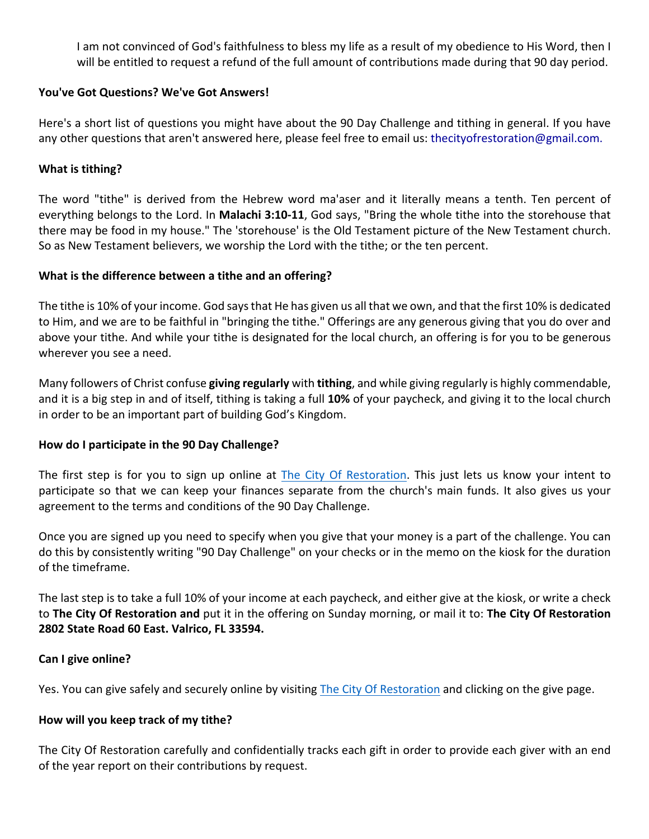I am not convinced of God's faithfulness to bless my life as a result of my obedience to His Word, then I will be entitled to request a refund of the full amount of contributions made during that 90 day period.

#### **You've Got Questions? We've Got Answers!**

Here's a short list of questions you might have about the 90 Day Challenge and tithing in general. If you have any other questions that aren't answered here, please feel free to email us: thecityofrestoration@gmail.com.

## **What is tithing?**

The word "tithe" is derived from the Hebrew word ma'aser and it literally means a tenth. Ten percent of everything belongs to the Lord. In **Malachi 3:10-11**, God says, "Bring the whole tithe into the storehouse that there may be food in my house." The 'storehouse' is the Old Testament picture of the New Testament church. So as New Testament believers, we worship the Lord with the tithe; or the ten percent.

## **What is the difference between a tithe and an offering?**

The tithe is 10% of your income. God says that He has given us all that we own, and that the first 10% is dedicated to Him, and we are to be faithful in "bringing the tithe." Offerings are any generous giving that you do over and above your tithe. And while your tithe is designated for the local church, an offering is for you to be generous wherever you see a need.

Many followers of Christ confuse **giving regularly** with **tithing**, and while giving regularly is highly commendable, and it is a big step in and of itself, tithing is taking a full **10%** of your paycheck, and giving it to the local church in order to be an important part of building God's Kingdom.

## **How do I participate in the 90 Day Challenge?**

The first step is for you to sign up online at The City Of Restoration. This just lets us know your intent to participate so that we can keep your finances separate from the church's main funds. It also gives us your agreement to the terms and conditions of the 90 Day Challenge.

Once you are signed up you need to specify when you give that your money is a part of the challenge. You can do this by consistently writing "90 Day Challenge" on your checks or in the memo on the kiosk for the duration of the timeframe.

The last step is to take a full 10% of your income at each paycheck, and either give at the kiosk, or write a check to **The City Of Restoration and** put it in the offering on Sunday morning, or mail it to: **The City Of Restoration 2802 State Road 60 East. Valrico, FL 33594.** 

#### **Can I give online?**

Yes. You can give safely and securely online by visiting The City Of Restoration and clicking on the give page.

#### **How will you keep track of my tithe?**

The City Of Restoration carefully and confidentially tracks each gift in order to provide each giver with an end of the year report on their contributions by request.